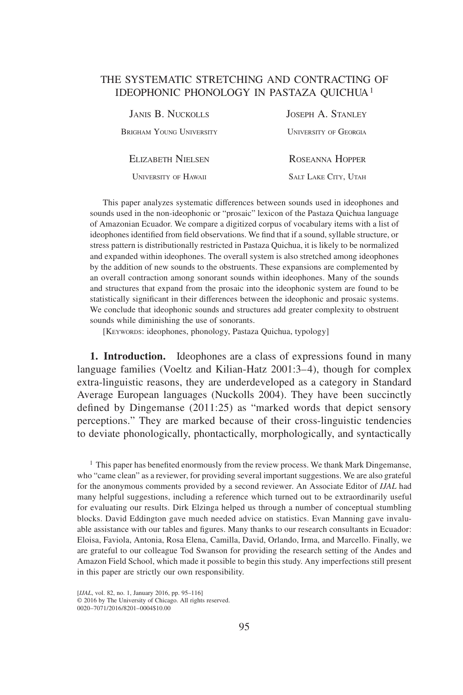## THE SYSTEMATIC STRETCHING AND CONTRACTING OF IDEOPHONIC PHONOLOGY IN PASTAZA QUICHUA1

| <b>JANIS B. NUCKOLLS</b>        | JOSEPH A. STANLEY            |
|---------------------------------|------------------------------|
| <b>BRIGHAM YOUNG UNIVERSITY</b> | <b>UNIVERSITY OF GEORGIA</b> |
| <b>ELIZABETH NIELSEN</b>        | ROSEANNA HOPPER              |
| <b>UNIVERSITY OF HAWAII</b>     | <b>SALT LAKE CITY, UTAH</b>  |

This paper analyzes systematic diferences between sounds used in ideophones and sounds used in the non-ideophonic or "prosaic" lexicon of the Pastaza Quichua language of Amazonian Ecuador. We compare a digitized corpus of vocabulary items with a list of ideophones identifed from feld observations. We fnd that if a sound, syllable structure, or stress pattern is distributionally restricted in Pastaza Quichua, it is likely to be normalized and expanded within ideophones. The overall system is also stretched among ideophones by the addition of new sounds to the obstruents. These expansions are complemented by an overall contraction among sonorant sounds within ideophones. Many of the sounds and structures that expand from the prosaic into the ideophonic system are found to be statistically signifcant in their diferences between the ideophonic and prosaic systems. We conclude that ideophonic sounds and structures add greater complexity to obstruent sounds while diminishing the use of sonorants.

[KEYWORDS: ideophones, phonology, Pastaza Quichua, typology]

**1. Introduction.** Ideophones are a class of expressions found in many language families (Voeltz and Kilian-Hatz 2001:3–4), though for complex extra-linguistic reasons, they are underdeveloped as a category in Standard Average European languages (Nuckolls 2004). They have been succinctly defned by Dingemanse (2011:25) as "marked words that depict sensory perceptions." They are marked because of their cross-linguistic tendencies to deviate phonologically, phontactically, morphologically, and syntactically

 $<sup>1</sup>$  This paper has benefited enormously from the review process. We thank Mark Dingemanse,</sup> who "came clean" as a reviewer, for providing several important suggestions. We are also grateful for the anonymous comments provided by a second reviewer. An Associate Editor of *IJAL* had many helpful suggestions, including a reference which turned out to be extraordinarily useful for evaluating our results. Dirk Elzinga helped us through a number of conceptual stumbling blocks. David Eddington gave much needed advice on statistics. Evan Manning gave invaluable assistance with our tables and fgures. Many thanks to our research consultants in Ecuador: Eloisa, Faviola, Antonia, Rosa Elena, Camilla, David, Orlando, Irma, and Marcello. Finally, we are grateful to our colleague Tod Swanson for providing the research setting of the Andes and Amazon Field School, which made it possible to begin this study. Any imperfections still present in this paper are strictly our own responsibility.

[*IJAL*, vol. 82, no. 1, January 2016, pp. 95-116] © 2016 by The University of Chicago. All rights reserved. 0020–7071/2016/8201–0004\$10.00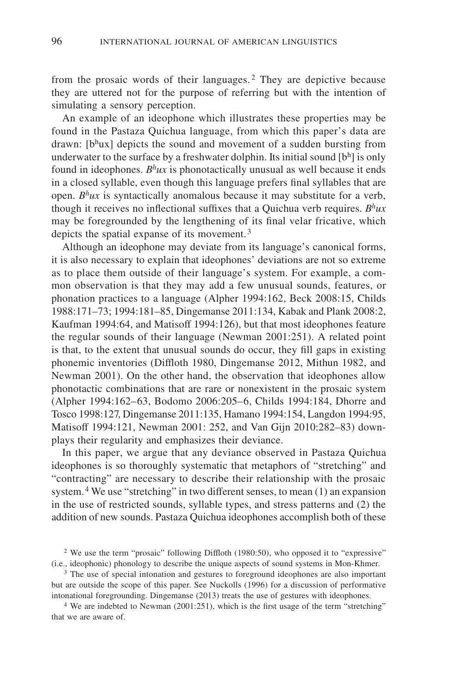from the prosaic words of their languages. 2 They are depictive because they are uttered not for the purpose of referring but with the intention of simulating a sensory perception.

An example of an ideophone which illustrates these properties may be found in the Pastaza Quichua language, from which this paper's data are drawn:  $[b^hux]$  depicts the sound and movement of a sudden bursting from underwater to the surface by a freshwater dolphin. Its initial sound  $[b^h]$  is only found in ideophones.  $B<sup>h</sup>ux$  is phonotactically unusual as well because it ends in a closed syllable, even though this language prefers fnal syllables that are open.  $B<sup>h</sup>ux$  is syntactically anomalous because it may substitute for a verb, though it receives no inflectional suffixes that a Quichua verb requires.  $B<sup>h</sup>ux$ may be foregrounded by the lengthening of its fnal velar fricative, which depicts the spatial expanse of its movement. <sup>3</sup>

Although an ideophone may deviate from its language's canonical forms, it is also necessary to explain that ideophones' deviations are not so extreme as to place them outside of their language's system. For example, a common observation is that they may add a few unusual sounds, features, or phonation practices to a language (Alpher 1994:162, Beck 2008:15, Childs 1988:171–73; 1994:181–85, Dingemanse 2011:134, Kabak and Plank 2008:2, Kaufman 1994:64, and Matisoff 1994:126), but that most ideophones feature the regular sounds of their language (Newman 2001:251). A related point is that, to the extent that unusual sounds do occur, they fll gaps in existing phonemic inventories (Diffloth 1980, Dingemanse 2012, Mithun 1982, and Newman 2001). On the other hand, the observation that ideophones allow phonotactic combinations that are rare or nonexistent in the prosaic system (Alpher 1994:162–63, Bodomo 2006:205–6, Childs 1994:184, Dhorre and Tosco 1998:127, Dingemanse 2011:135, Hamano 1994:154, Langdon 1994:95, Matisoff 1994:121, Newman 2001: 252, and Van Gijn 2010:282-83) downplays their regularity and emphasizes their deviance.

In this paper, we argue that any deviance observed in Pastaza Quichua ideophones is so thoroughly systematic that metaphors of "stretching" and "contracting" are necessary to describe their relationship with the prosaic system. 4 We use "stretching" in two diferent senses, to mean (1) an expansion in the use of restricted sounds, syllable types, and stress patterns and (2) the addition of new sounds. Pastaza Quichua ideophones accomplish both of these

<sup>2</sup> We use the term "prosaic" following Diffloth (1980:50), who opposed it to "expressive" (i.e., ideophonic) phonology to describe the unique aspects of sound systems in Mon-Khmer.

<sup>3</sup> The use of special intonation and gestures to foreground ideophones are also important but are outside the scope of this paper. See Nuckolls (1996) for a discussion of performative intonational foregrounding. Dingemanse (2013) treats the use of gestures with ideophones.

<sup>4</sup> We are indebted to Newman (2001:251), which is the first usage of the term "stretching" that we are aware of.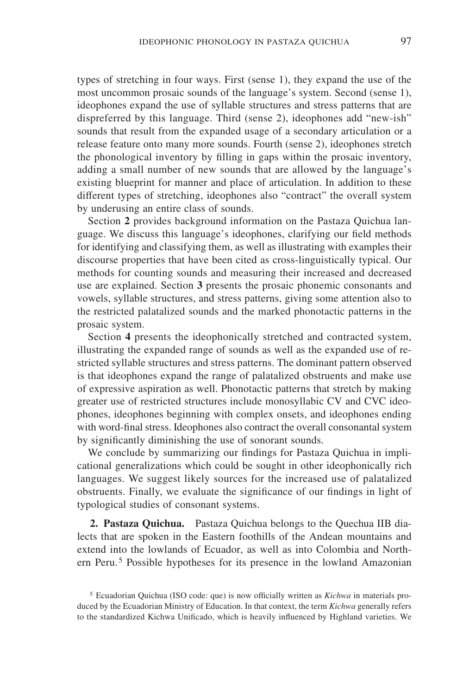types of stretching in four ways. First (sense 1), they expand the use of the most uncommon prosaic sounds of the language's system. Second (sense 1), ideophones expand the use of syllable structures and stress patterns that are dispreferred by this language. Third (sense 2), ideophones add "new-ish" sounds that result from the expanded usage of a secondary articulation or a release feature onto many more sounds. Fourth (sense 2), ideophones stretch the phonological inventory by flling in gaps within the prosaic inventory, adding a small number of new sounds that are allowed by the language's existing blueprint for manner and place of articulation. In addition to these diferent types of stretching, ideophones also "contract" the overall system by underusing an entire class of sounds.

Section **2** provides background information on the Pastaza Quichua language. We discuss this language's ideophones, clarifying our feld methods for identifying and classifying them, as well as illustrating with examples their discourse properties that have been cited as cross-linguistically typical. Our methods for counting sounds and measuring their increased and decreased use are explained. Section **3** presents the prosaic phonemic consonants and vowels, syllable structures, and stress patterns, giving some attention also to the restricted palatalized sounds and the marked phonotactic patterns in the prosaic system.

Section **4** presents the ideophonically stretched and contracted system, illustrating the expanded range of sounds as well as the expanded use of restricted syllable structures and stress patterns. The dominant pattern observed is that ideophones expand the range of palatalized obstruents and make use of expressive aspiration as well. Phonotactic patterns that stretch by making greater use of restricted structures include monosyllabic CV and CVC ideophones, ideophones beginning with complex onsets, and ideophones ending with word-fnal stress. Ideophones also contract the overall consonantal system by signifcantly diminishing the use of sonorant sounds.

We conclude by summarizing our fndings for Pastaza Quichua in implicational generalizations which could be sought in other ideophonically rich languages. We suggest likely sources for the increased use of palatalized obstruents. Finally, we evaluate the signifcance of our fndings in light of typological studies of consonant systems.

**2. Pastaza Quichua.** Pastaza Quichua belongs to the Quechua IIB dialects that are spoken in the Eastern foothills of the Andean mountains and extend into the lowlands of Ecuador, as well as into Colombia and Northern Peru. 5 Possible hypotheses for its presence in the lowland Amazonian

<sup>&</sup>lt;sup>5</sup> Ecuadorian Quichua (ISO code: que) is now officially written as *Kichwa* in materials produced by the Ecuadorian Ministry of Education. In that context, the term *Kichwa* generally refers to the standardized Kichwa Unifcado, which is heavily infuenced by Highland varieties. We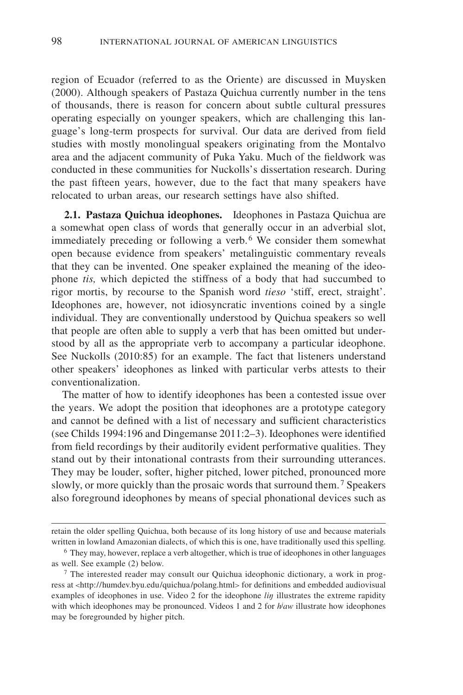region of Ecuador (referred to as the Oriente) are discussed in Muysken (2000). Although speakers of Pastaza Quichua currently number in the tens of thousands, there is reason for concern about subtle cultural pressures operating especially on younger speakers, which are challenging this language's long-term prospects for survival. Our data are derived from feld studies with mostly monolingual speakers originating from the Montalvo area and the adjacent community of Puka Yaku. Much of the feldwork was conducted in these communities for Nuckolls's dissertation research. During the past ffteen years, however, due to the fact that many speakers have relocated to urban areas, our research settings have also shifted.

**2.1. Pastaza Quichua ideophones.** Ideophones in Pastaza Quichua are a somewhat open class of words that generally occur in an adverbial slot, immediately preceding or following a verb.<sup>6</sup> We consider them somewhat open because evidence from speakers' metalinguistic commentary reveals that they can be invented. One speaker explained the meaning of the ideophone *tis,* which depicted the stifness of a body that had succumbed to rigor mortis, by recourse to the Spanish word *tieso* 'stif, erect, straight'. Ideophones are, however, not idiosyncratic inventions coined by a single individual. They are conventionally understood by Quichua speakers so well that people are often able to supply a verb that has been omitted but understood by all as the appropriate verb to accompany a particular ideophone. See Nuckolls (2010:85) for an example. The fact that listeners understand other speakers' ideophones as linked with particular verbs attests to their conventionalization.

The matter of how to identify ideophones has been a contested issue over the years. We adopt the position that ideophones are a prototype category and cannot be defined with a list of necessary and sufficient characteristics (see Childs 1994:196 and Dingemanse 2011:2–3). Ideophones were identifed from feld recordings by their auditorily evident performative qualities. They stand out by their intonational contrasts from their surrounding utterances. They may be louder, softer, higher pitched, lower pitched, pronounced more slowly, or more quickly than the prosaic words that surround them.<sup>7</sup> Speakers also foreground ideophones by means of special phonational devices such as

retain the older spelling Quichua, both because of its long history of use and because materials written in lowland Amazonian dialects, of which this is one, have traditionally used this spelling.

<sup>6</sup> They may, however, replace a verb altogether, which is true of ideophones in other languages as well. See example (2) below.

<sup>7</sup> The interested reader may consult our Quichua ideophonic dictionary, a work in progress at <http://humdev.byu.edu/quichua/polang.html> for defnitions and embedded audiovisual examples of ideophones in use. Video 2 for the ideophone *liŋ* illustrates the extreme rapidity with which ideophones may be pronounced. Videos 1 and 2 for *hj aw* illustrate how ideophones may be foregrounded by higher pitch.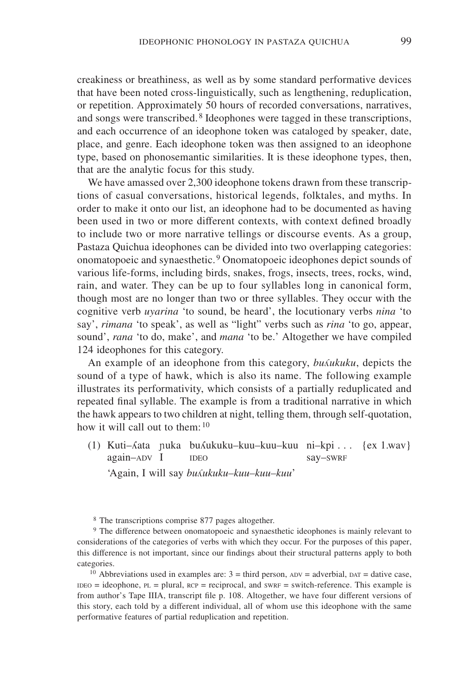creakiness or breathiness, as well as by some standard performative devices that have been noted cross-linguistically, such as lengthening, reduplication, or repetition. Approximately 50 hours of recorded conversations, narratives, and songs were transcribed. 8 Ideophones were tagged in these transcriptions, and each occurrence of an ideophone token was cataloged by speaker, date, place, and genre. Each ideophone token was then assigned to an ideophone type, based on phonosemantic similarities. It is these ideophone types, then, that are the analytic focus for this study.

We have amassed over 2,300 ideophone tokens drawn from these transcriptions of casual conversations, historical legends, folktales, and myths. In order to make it onto our list, an ideophone had to be documented as having been used in two or more diferent contexts, with context defned broadly to include two or more narrative tellings or discourse events. As a group, Pastaza Quichua ideophones can be divided into two overlapping categories: onomatopoeic and synaesthetic. 9 Onomatopoeic ideophones depict sounds of various life-forms, including birds, snakes, frogs, insects, trees, rocks, wind, rain, and water. They can be up to four syllables long in canonical form, though most are no longer than two or three syllables. They occur with the cognitive verb *uyarina* 'to sound, be heard', the locutionary verbs *nina* 'to say', *rimana* 'to speak', as well as "light" verbs such as *rina* 'to go, appear, sound', *rana* 'to do, make', and *mana* 'to be.' Altogether we have compiled 124 ideophones for this category.

An example of an ideophone from this category, *buʎukuku*, depicts the sound of a type of hawk, which is also its name. The following example illustrates its performativity, which consists of a partially reduplicated and repeated fnal syllable. The example is from a traditional narrative in which the hawk appears to two children at night, telling them, through self-quotation, how it will call out to them<sup> $\cdot$ 10</sup>

(1) Kuti–ʎata ɲuka buʎukuku–kuu–kuu–kuu ni–kpi . . . {ex 1.wav} again–ADV I IDEO say–SWRF

'Again, I will say *buʎukuku–kuu–kuu–kuu*'

<sup>8</sup> The transcriptions comprise 877 pages altogether.

<sup>9</sup> The difference between onomatopoeic and synaesthetic ideophones is mainly relevant to considerations of the categories of verbs with which they occur. For the purposes of this paper, this diference is not important, since our fndings about their structural patterns apply to both categories.

<sup>10</sup> Abbreviations used in examples are:  $3 =$  third person,  $ADV =$  adverbial,  $DATA =$  dative case,  $IDEO = ideophone, PL = plural, RCP = reciprocal, and SWRF = switch-reference. This example is$ from author's Tape IIIA, transcript fle p. 108. Altogether, we have four diferent versions of this story, each told by a diferent individual, all of whom use this ideophone with the same performative features of partial reduplication and repetition.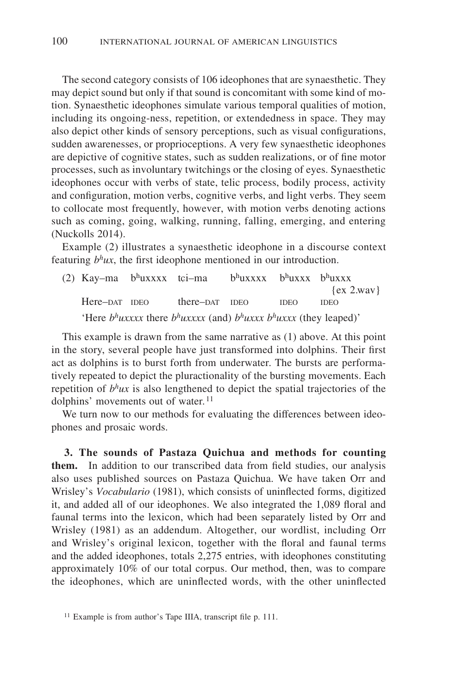The second category consists of 106 ideophones that are synaesthetic. They may depict sound but only if that sound is concomitant with some kind of motion. Synaesthetic ideophones simulate various temporal qualities of motion, including its ongoing-ness, repetition, or extendedness in space. They may also depict other kinds of sensory perceptions, such as visual confgurations, sudden awarenesses, or proprioceptions. A very few synaesthetic ideophones are depictive of cognitive states, such as sudden realizations, or of fne motor processes, such as involuntary twitchings or the closing of eyes. Synaesthetic ideophones occur with verbs of state, telic process, bodily process, activity and confguration, motion verbs, cognitive verbs, and light verbs. They seem to collocate most frequently, however, with motion verbs denoting actions such as coming, going, walking, running, falling, emerging, and entering (Nuckolls 2014).

Example (2) illustrates a synaesthetic ideophone in a discourse context featuring  $b<sup>h</sup>ux$ , the first ideophone mentioned in our introduction.

(2) Kay–ma  $b^h$ uxxxx tçi–ma  $b^h$ uxxxx  $b^h$ uxxx  $b^h$ uxxx  $\{ex\ 2.wav\}$ Here–DAT IDEO there–DAT IDEO IDEO IDEO 'Here  $b^h u x x x x$  there  $b^h u x x x x$  (and)  $b^h u x x x b^h u x x x$  (they leaped)'

This example is drawn from the same narrative as (1) above. At this point in the story, several people have just transformed into dolphins. Their frst act as dolphins is to burst forth from underwater. The bursts are performatively repeated to depict the pluractionality of the bursting movements. Each repetition of  $b<sup>h</sup>ux$  is also lengthened to depict the spatial trajectories of the dolphins' movements out of water.<sup>11</sup>

We turn now to our methods for evaluating the differences between ideophones and prosaic words.

**3. The sounds of Pastaza Quichua and methods for counting them.** In addition to our transcribed data from feld studies, our analysis also uses published sources on Pastaza Quichua. We have taken Orr and Wrisley's *Vocabulario* (1981), which consists of uninfected forms, digitized it, and added all of our ideophones. We also integrated the 1,089 foral and faunal terms into the lexicon, which had been separately listed by Orr and Wrisley (1981) as an addendum. Altogether, our wordlist, including Orr and Wrisley's original lexicon, together with the foral and faunal terms and the added ideophones, totals 2,275 entries, with ideophones constituting approximately 10% of our total corpus. Our method, then, was to compare the ideophones, which are uninfected words, with the other uninfected

<sup>&</sup>lt;sup>11</sup> Example is from author's Tape IIIA, transcript file p. 111.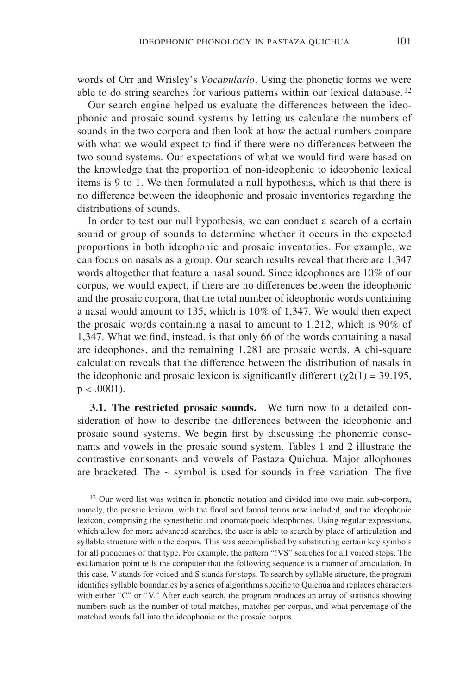words of Orr and Wrisley's *Vocabulario*. Using the phonetic forms we were able to do string searches for various patterns within our lexical database. <sup>12</sup>

Our search engine helped us evaluate the diferences between the ideophonic and prosaic sound systems by letting us calculate the numbers of sounds in the two corpora and then look at how the actual numbers compare with what we would expect to fnd if there were no diferences between the two sound systems. Our expectations of what we would fnd were based on the knowledge that the proportion of non-ideophonic to ideophonic lexical items is 9 to 1. We then formulated a null hypothesis, which is that there is no diference between the ideophonic and prosaic inventories regarding the distributions of sounds.

In order to test our null hypothesis, we can conduct a search of a certain sound or group of sounds to determine whether it occurs in the expected proportions in both ideophonic and prosaic inventories. For example, we can focus on nasals as a group. Our search results reveal that there are 1,347 words altogether that feature a nasal sound. Since ideophones are 10% of our corpus, we would expect, if there are no diferences between the ideophonic and the prosaic corpora, that the total number of ideophonic words containing a nasal would amount to 135, which is 10% of 1,347. We would then expect the prosaic words containing a nasal to amount to 1,212, which is 90% of 1,347. What we fnd, instead, is that only 66 of the words containing a nasal are ideophones, and the remaining 1,281 are prosaic words. A chi-square calculation reveals that the diference between the distribution of nasals in the ideophonic and prosaic lexicon is significantly different ( $\chi$ 2(1) = 39.195,  $p < .0001$ ).

**3.1. The restricted prosaic sounds.** We turn now to a detailed consideration of how to describe the diferences between the ideophonic and prosaic sound systems. We begin frst by discussing the phonemic consonants and vowels in the prosaic sound system. Tables 1 and 2 illustrate the contrastive consonants and vowels of Pastaza Quichua. Major allophones are bracketed. The  $\sim$  symbol is used for sounds in free variation. The five

<sup>12</sup> Our word list was written in phonetic notation and divided into two main sub-corpora, namely, the prosaic lexicon, with the foral and faunal terms now included, and the ideophonic lexicon, comprising the synesthetic and onomatopoeic ideophones. Using regular expressions, which allow for more advanced searches, the user is able to search by place of articulation and syllable structure within the corpus. This was accomplished by substituting certain key symbols for all phonemes of that type. For example, the pattern "!VS" searches for all voiced stops. The exclamation point tells the computer that the following sequence is a manner of articulation. In this case, V stands for voiced and S stands for stops. To search by syllable structure, the program identifes syllable boundaries by a series of algorithms specifc to Quichua and replaces characters with either "C" or "V." After each search, the program produces an array of statistics showing numbers such as the number of total matches, matches per corpus, and what percentage of the matched words fall into the ideophonic or the prosaic corpus.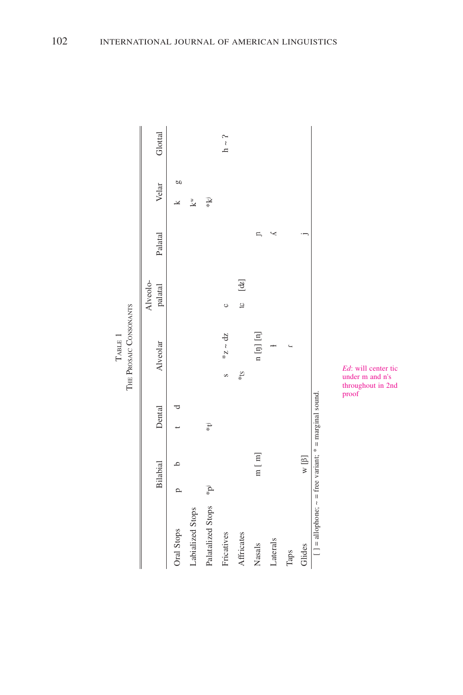|                                                                 |           |        | THE PROSAIC CONSONANTS<br>TABLE 1 |                     |         |       |            |
|-----------------------------------------------------------------|-----------|--------|-----------------------------------|---------------------|---------|-------|------------|
|                                                                 | Bilabial  | Dental | Alveolar                          | Alveolo-<br>palatal | Palatal | Velar | Glottal    |
| Oral Stops                                                      | $\circ$   | þ      |                                   |                     |         | bД    |            |
| Labialized Stops                                                |           |        |                                   |                     |         | k     |            |
| Palatalized Stops *pi                                           |           | 7*     |                                   |                     |         | ř.    |            |
| Fricatives                                                      |           |        | $z\sim 2\neq$<br>S                | c                   |         |       | $h \sim 2$ |
| Affricates                                                      |           |        | $\mathbf{S}_{1\#}$                | $[$<br>$\omega$     |         |       |            |
| Nasals                                                          | m [m]     |        | $n$ $[n]$ $[n]$                   |                     |         |       |            |
| Laterals                                                        |           |        |                                   |                     | ∽       |       |            |
| Taps                                                            |           |        |                                   |                     |         |       |            |
| Glides                                                          | $\le$ [β] |        |                                   |                     |         |       |            |
| $[ ] =$ allophone; $\sim =$ free variant; $* =$ marginal sound. |           |        |                                   |                     |         |       |            |

*Ed*: will center tic under m and n's throughout in 2nd proof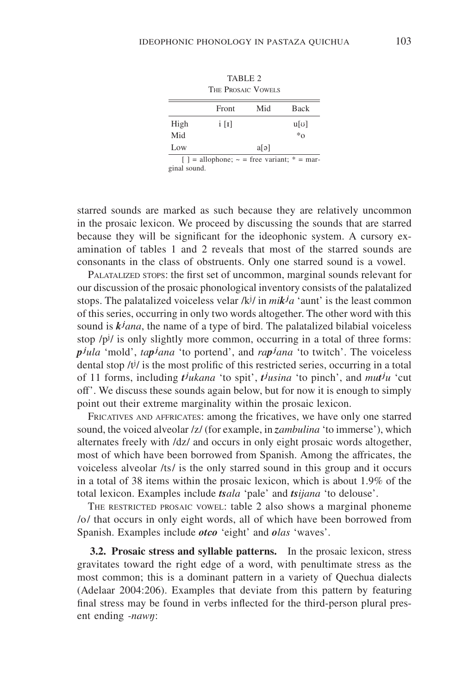| TABLE 2<br>THE PROSAIC VOWELS                                      |         |  |              |  |  |  |
|--------------------------------------------------------------------|---------|--|--------------|--|--|--|
| <b>Back</b><br>Mid<br><b>Front</b>                                 |         |  |              |  |  |  |
| High                                                               | $i$ [I] |  | $u[\sigma]$  |  |  |  |
| Mid                                                                |         |  | $*_{\Omega}$ |  |  |  |
| a[a]<br>Low                                                        |         |  |              |  |  |  |
| $\lceil \cdot \rceil$ = allophone; $\sim$ = free variant; * = mar- |         |  |              |  |  |  |

ginal sound.

starred sounds are marked as such because they are relatively uncommon in the prosaic lexicon. We proceed by discussing the sounds that are starred because they will be signifcant for the ideophonic system. A cursory examination of tables 1 and 2 reveals that most of the starred sounds are consonants in the class of obstruents. Only one starred sound is a vowel.

PALATALIZED STOPS: the frst set of uncommon, marginal sounds relevant for our discussion of the prosaic phonological inventory consists of the palatalized stops. The palatalized voiceless velar  $/k^{j} / i n m k^{j} a$  'aunt' is the least common of this series, occurring in only two words altogether. The other word with this sound is  $k<sup>j</sup>$ *ana*, the name of a type of bird. The palatalized bilabial voiceless stop /p<sup>j</sup>/ is only slightly more common, occurring in a total of three forms: *p j ula* 'mold', *tap <sup>j</sup> ana* 'to portend', and *rap <sup>j</sup> ana* 'to twitch'. The voiceless dental stop /t<sup>j</sup>/ is the most prolific of this restricted series, occurring in a total of 11 forms, including  $t^j$ *ukana* 'to spit',  $t^j$ *usina* 'to pinch', and *mut*<sup>*ju*</sup> 'cut of'. We discuss these sounds again below, but for now it is enough to simply point out their extreme marginality within the prosaic lexicon.

FRICATIVES AND AFFRICATES: among the fricatives, we have only one starred sound, the voiced alveolar /z/ (for example, in *zambulina* 'to immerse'), which alternates freely with /dz/ and occurs in only eight prosaic words altogether, most of which have been borrowed from Spanish. Among the africates, the voiceless alveolar /ts/ is the only starred sound in this group and it occurs in a total of 38 items within the prosaic lexicon, which is about 1.9% of the total lexicon. Examples include *tsala* 'pale' and *tsijana* 'to delouse'.

THE RESTRICTED PROSAIC VOWEL: table 2 also shows a marginal phoneme /o/ that occurs in only eight words, all of which have been borrowed from Spanish. Examples include *otɕo* 'eight' and *olas* 'waves'.

**3.2. Prosaic stress and syllable patterns.** In the prosaic lexicon, stress gravitates toward the right edge of a word, with penultimate stress as the most common; this is a dominant pattern in a variety of Quechua dialects (Adelaar 2004:206). Examples that deviate from this pattern by featuring fnal stress may be found in verbs infected for the third-person plural present ending *-nawŋ*: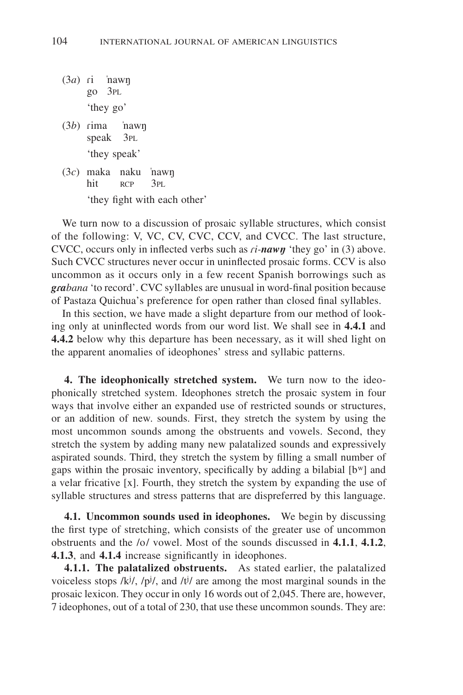- (3*a*) ɾi ̍nawŋ go 3PL 'they go'
- (3*b*) ɾima ̍nawŋ speak 3PL 'they speak'
- (3*c*) maka naku **̍**nawŋ hit RCP 3PL **'**they fght with each other'

We turn now to a discussion of prosaic syllable structures, which consist of the following: V, VC, CV, CVC, CCV, and CVCC. The last structure, CVCC, occurs only in infected verbs such as *ɾi-nawŋ* 'they go' in (3) above. Such CVCC structures never occur in uninfected prosaic forms. CCV is also uncommon as it occurs only in a few recent Spanish borrowings such as *gɾabana* 'to record'. CVC syllables are unusual in word-fnal position because of Pastaza Quichua's preference for open rather than closed fnal syllables.

In this section, we have made a slight departure from our method of looking only at uninfected words from our word list. We shall see in **4.4.1** and **4.4.2** below why this departure has been necessary, as it will shed light on the apparent anomalies of ideophones' stress and syllabic patterns.

**4. The ideophonically stretched system.** We turn now to the ideophonically stretched system. Ideophones stretch the prosaic system in four ways that involve either an expanded use of restricted sounds or structures, or an addition of new. sounds. First, they stretch the system by using the most uncommon sounds among the obstruents and vowels. Second, they stretch the system by adding many new palatalized sounds and expressively aspirated sounds. Third, they stretch the system by flling a small number of gaps within the prosaic inventory, specifically by adding a bilabial  $[b^w]$  and a velar fricative [x]. Fourth, they stretch the system by expanding the use of syllable structures and stress patterns that are dispreferred by this language.

**4.1. Uncommon sounds used in ideophones.** We begin by discussing the frst type of stretching, which consists of the greater use of uncommon obstruents and the /o/ vowel. Most of the sounds discussed in **4.1.1**, **4.1.2**, **4.1.3**, and **4.1.4** increase signifcantly in ideophones.

**4.1.1. The palatalized obstruents.** As stated earlier, the palatalized voiceless stops  $/k^{j}$ ,  $/p^{j}$ , and  $/t^{j}$  are among the most marginal sounds in the prosaic lexicon. They occur in only 16 words out of 2,045. There are, however, 7 ideophones, out of a total of 230, that use these uncommon sounds. They are: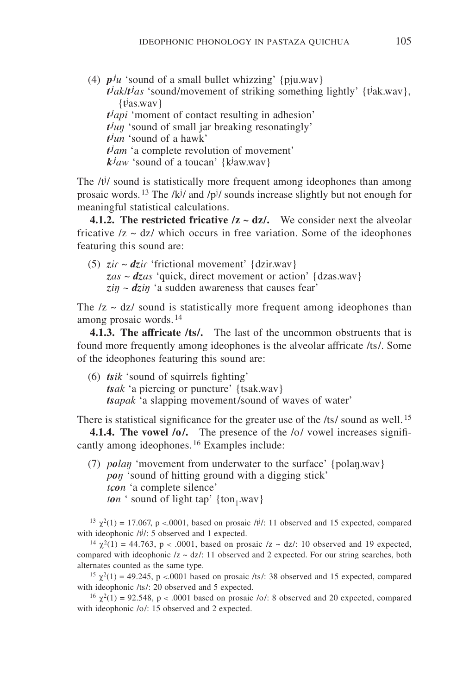(4)  $p^j u$  'sound of a small bullet whizzing' {pju.wav} *t j ak/t <sup>j</sup> as* 'sound/movement of striking something lightly' {tj ak.wav}, {tj as.wav} *t j api* 'moment of contact resulting in adhesion' *t j uŋ* 'sound of small jar breaking resonatingly' *t j un* 'sound of a hawk' *t j am* 'a complete revolution of movement'  $k<sup>j</sup>aw$  'sound of a toucan' { $k<sup>j</sup>aw.wav$ }

The /t<sup>j</sup>/ sound is statistically more frequent among ideophones than among prosaic words.<sup>13</sup> The /k<sup>j</sup>/ and /p<sup>j</sup>/ sounds increase slightly but not enough for meaningful statistical calculations.

**4.1.2. The restricted fricative**  $z \sim dz$ **.** We consider next the alveolar fricative  $/z \sim dz$  which occurs in free variation. Some of the ideophones featuring this sound are:

(5)  $\overline{z}$ *ic* ~  $\overline{dz}$ *ic* 'frictional movement' {dzir.wav} *zas* ~ *dzas* 'quick, direct movement or action' {dzas.wav}  $\zeta$ *in* ~  $\frac{d\zeta}{dt}$  a sudden awareness that causes fear'

The  $/z \sim dz$  sound is statistically more frequent among ideophones than among prosaic words. <sup>14</sup>

**4.1.3. The affricate /ts/.** The last of the uncommon obstruents that is found more frequently among ideophones is the alveolar africate /ts/. Some of the ideophones featuring this sound are:

(6) *tsik* 'sound of squirrels fghting' *tsak* 'a piercing or puncture' {tsak.wav} *tsapak* 'a slapping movement/sound of waves of water'

There is statistical significance for the greater use of the /ts/ sound as well.<sup>15</sup>

**4.1.4. The vowel /o/.** The presence of the /o/ vowel increases signifcantly among ideophones. 16 Examples include:

(7) *polaŋ* 'movement from underwater to the surface' {polaŋ.wav} *poŋ* 'sound of hitting ground with a digging stick' *tɕon* 'a complete silence' *ton* ' sound of light tap' {ton<sub>1</sub>.wav}

<sup>13</sup>  $\chi^2(1) = 17.067$ , p <.0001, based on prosaic /t<sup>j</sup>/: 11 observed and 15 expected, compared with ideophonic /t<sup>j</sup>/: 5 observed and 1 expected.

<sup>14</sup>  $\chi^2(1) = 44.763$ , p < .0001, based on prosaic  $\ell z \sim dz$ : 10 observed and 19 expected, compared with ideophonic  $/z \sim dz$ : 11 observed and 2 expected. For our string searches, both alternates counted as the same type.

<sup>15</sup>  $\chi^2(1) = 49.245$ , p <.0001 based on prosaic /ts/: 38 observed and 15 expected, compared with ideophonic /ts/: 20 observed and 5 expected.

<sup>16</sup>  $χ<sup>2</sup>(1) = 92.548$ , p < .0001 based on prosaic /o/: 8 observed and 20 expected, compared with ideophonic /o/: 15 observed and 2 expected.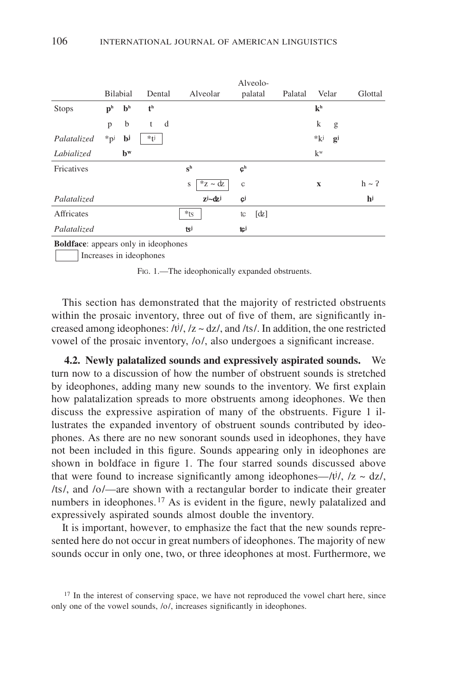|              |                           |                         |                   |                    |                | Alveolo- |         |                    |            |
|--------------|---------------------------|-------------------------|-------------------|--------------------|----------------|----------|---------|--------------------|------------|
|              | Bilabial                  |                         | Dental            | Alveolar           |                | palatal  | Palatal | Velar              | Glottal    |
| <b>Stops</b> | $\mathbf{p}^{\mathrm{h}}$ | $\mathbf{b}^{\text{h}}$ | ${\bf t}^{\rm h}$ |                    |                |          |         | k <sup>h</sup>     |            |
|              | p                         | b                       | d<br>t            |                    |                |          |         | k<br>g             |            |
| Palatalized  | $*_{p^j}$                 | bj                      | *ti               |                    |                |          |         | $*_{k}$<br>$g^{j}$ |            |
| Labialized   |                           | $bw$                    |                   |                    |                |          |         | $k^w$              |            |
| Fricatives   |                           |                         |                   | $S^h$              | c <sup>h</sup> |          |         |                    |            |
|              |                           |                         |                   | $^*z \sim dz$<br>S | $\mathcal{C}$  |          |         | $\mathbf x$        | $h \sim$ ? |
| Palatalized  |                           |                         |                   | $Z^{j}$ ~ $dz^{j}$ | çi             |          |         |                    | hj         |
| Affricates   |                           |                         |                   | $*_{\mathsf{IS}}$  | tç             | [dz]     |         |                    |            |
| Palatalized  |                           |                         |                   | tsi                | tçi            |          |         |                    |            |
|              |                           |                         |                   |                    |                |          |         |                    |            |

**Boldface**: appears only in ideophones

Increases in ideophones

FIG. 1.—The ideophonically expanded obstruents.

This section has demonstrated that the majority of restricted obstruents within the prosaic inventory, three out of five of them, are significantly increased among ideophones:  $/t^{j}/$ ,  $/z \sim dz/$ , and  $/ts/$ . In addition, the one restricted vowel of the prosaic inventory, /o/, also undergoes a signifcant increase.

**4.2. Newly palatalized sounds and expressively aspirated sounds.** We turn now to a discussion of how the number of obstruent sounds is stretched by ideophones, adding many new sounds to the inventory. We frst explain how palatalization spreads to more obstruents among ideophones. We then discuss the expressive aspiration of many of the obstruents. Figure 1 illustrates the expanded inventory of obstruent sounds contributed by ideophones. As there are no new sonorant sounds used in ideophones, they have not been included in this fgure. Sounds appearing only in ideophones are shown in boldface in fgure 1. The four starred sounds discussed above that were found to increase significantly among ideophones—/ $t^{j}/$ , /z ~ dz/, /ts/, and /o/—are shown with a rectangular border to indicate their greater numbers in ideophones.<sup>17</sup> As is evident in the figure, newly palatalized and expressively aspirated sounds almost double the inventory.

It is important, however, to emphasize the fact that the new sounds represented here do not occur in great numbers of ideophones. The majority of new sounds occur in only one, two, or three ideophones at most. Furthermore, we

<sup>&</sup>lt;sup>17</sup> In the interest of conserving space, we have not reproduced the vowel chart here, since only one of the vowel sounds, /o/, increases signifcantly in ideophones.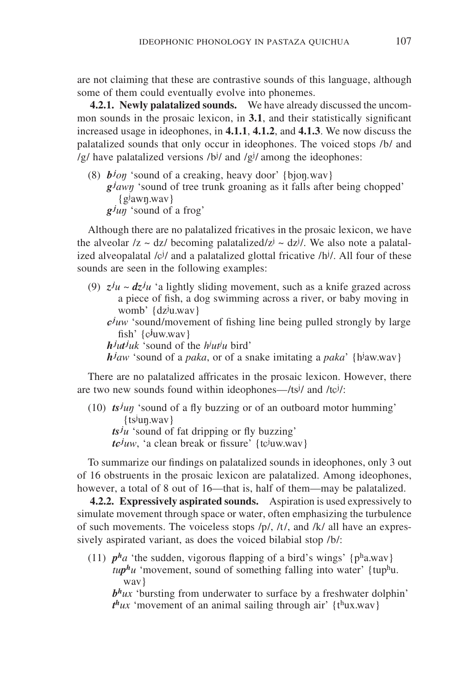are not claiming that these are contrastive sounds of this language, although some of them could eventually evolve into phonemes.

**4.2.1. Newly palatalized sounds.** We have already discussed the uncommon sounds in the prosaic lexicon, in **3.1**, and their statistically signifcant increased usage in ideophones, in **4.1.1**, **4.1.2**, and **4.1.3**. We now discuss the palatalized sounds that only occur in ideophones. The voiced stops /b/ and /g/ have palatalized versions /b<sup>j</sup>/ and /g<sup>j</sup>/ among the ideophones:

(8) *b <sup>j</sup> oŋ* 'sound of a creaking, heavy door' {bjoŋ*.*wav} *g j awŋ* 'sound of tree trunk groaning as it falls after being chopped' {gj awŋ.wav} *g j uŋ* 'sound of a frog'

Although there are no palatalized fricatives in the prosaic lexicon, we have the alveolar  $/z \sim dz$  becoming palatalized/ $z^j \sim dz^j$ . We also note a palatalized alveopalatal  $/c$ *i* and a palatalized glottal fricative  $/h$ <sup>*i*</sup>. All four of these sounds are seen in the following examples:

- (9)  $z^{j}u dz^{j}u$  'a lightly sliding movement, such as a knife grazed across a piece of fsh, a dog swimming across a river, or baby moving in womb' {dzj u.wav}
	- *ɕ j uw* 'sound/movement of fshing line being pulled strongly by large fsh' {ɕ**<sup>j</sup>** uw.wav}
	- *h*<sup>*jut<sup>j</sup>uk* 'sound of the *h*<sup>*jutju*</sup> bird'</sup>
	- *h j aw* 'sound of a *paka*, or of a snake imitating a *paka*' {hj aw.wav}

There are no palatalized africates in the prosaic lexicon. However, there are two new sounds found within ideophones—/ts<sup>j</sup>/ and /tc<sup>j</sup>/:

(10)  $\frac{t}{s}$  *ts*<sup>*iun*</sup> 'sound of a fly buzzing or of an outboard motor humming' {tsj uŋ.wav}

 $t s^{j} u$  'sound of fat dripping or fly buzzing' *tc*<sup>*juw*, 'a clean break or fissure' {t͡c<sup>j</sup>uw.wav}</sup>

To summarize our fndings on palatalized sounds in ideophones, only 3 out of 16 obstruents in the prosaic lexicon are palatalized. Among ideophones, however, a total of 8 out of 16—that is, half of them—may be palatalized.

**4.2.2. Expressively aspirated sounds.** Aspiration is used expressively to simulate movement through space or water, often emphasizing the turbulence of such movements. The voiceless stops /p/, /t/, and /k/ all have an expressively aspirated variant, as does the voiced bilabial stop /b/:

(11)  $p^h a$  'the sudden, vigorous flapping of a bird's wings' { $p^h a$  wav} *tuphu* 'movement, sound of something falling into water'  $\{ \text{tup}^h \}$ u. wav}

 $b<sup>h</sup>ux$  'bursting from underwater to surface by a freshwater dolphin'  $t<sup>h</sup>$ *ux* 'movement of an animal sailing through air' { $t<sup>h</sup>$ ux.wav}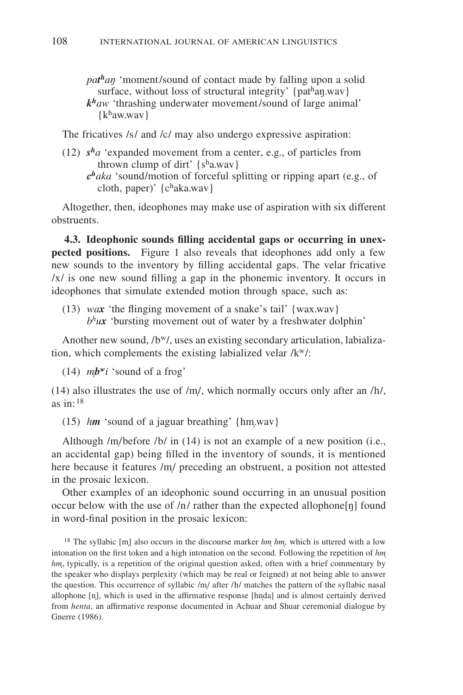*pat <sup>h</sup>aŋ* 'moment/sound of contact made by falling upon a solid surface, without loss of structural integrity' {pathan.wav} *khaw* 'thrashing underwater movement/sound of large animal'  $\{k^{\text{h}}$ aw.wav $\}$ 

The fricatives /s/ and /c/ may also undergo expressive aspiration:

- (12)  $s<sup>h</sup>a$  'expanded movement from a center, e.g., of particles from thrown clump of dirt'  ${s<sup>h</sup>a.wav}$ 
	- *ɕ<sup>h</sup>aka* 'sound/motion of forceful splitting or ripping apart (e.g., of cloth, paper)'  $\{c^h$ aka.wav $\}$

Altogether, then, ideophones may make use of aspiration with six diferent obstruents.

**4.3. Ideophonic sounds filling accidental gaps or occurring in unexpected positions.** Figure 1 also reveals that ideophones add only a few new sounds to the inventory by flling accidental gaps. The velar fricative /x/ is one new sound flling a gap in the phonemic inventory. It occurs in ideophones that simulate extended motion through space, such as:

(13) *wax* 'the finging movement of a snake's tail' {wax.wav}  $b<sup>h</sup>ux$  'bursting movement out of water by a freshwater dolphin'

Another new sound,  $/b^w/$ , uses an existing secondary articulation, labialization, which complements the existing labialized velar  $/k^w$ :

(14)  $mb^{w}i$  'sound of a frog'

(14) also illustrates the use of  $/m/$ , which normally occurs only after an  $/h/$ , as in:  $18$ 

(15)  $hm$  'sound of a jaguar breathing' {hm wav}

Although /m/before /b/ in (14) is not an example of a new position (i.e., an accidental gap) being flled in the inventory of sounds, it is mentioned here because it features /m/ preceding an obstruent, a position not attested in the prosaic lexicon.

Other examples of an ideophonic sound occurring in an unusual position occur below with the use of /n/ rather than the expected allophone[ŋ] found in word-fnal position in the prosaic lexicon:

<sup>18</sup> The syllabic [m] also occurs in the discourse marker  $hm$  *hm*, which is uttered with a low intonation on the first token and a high intonation on the second. Following the repetition of *hm*<sup>*i*</sup> *hm*, typically, is a repetition of the original question asked, often with a brief commentary by the speaker who displays perplexity (which may be real or feigned) at not being able to answer the question. This occurrence of syllabic /m/ after /h/ matches the pattern of the syllabic nasal allophone [n], which is used in the affirmative response [hnda] and is almost certainly derived from *henta*, an affirmative response documented in Achuar and Shuar ceremonial dialogue by Gnerre (1986).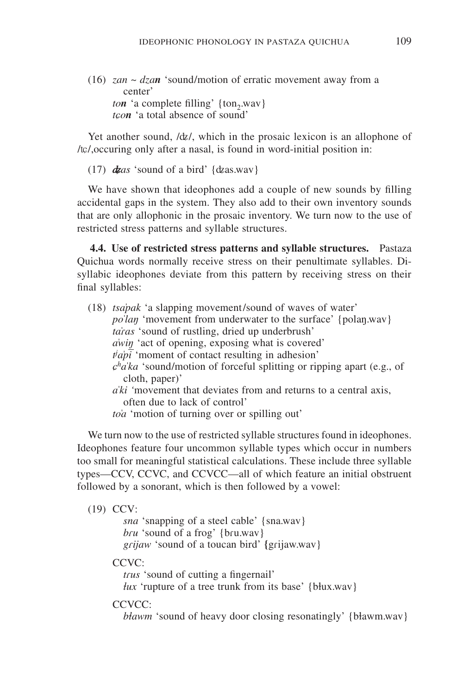(16) *zan* ~ *dzan* 'sound/motion of erratic movement away from a center' *ton* 'a complete filling'  $\{ton, c, wav\}$ *tɕon* 'a total absence of sound'

Yet another sound, /ʥ/, which in the prosaic lexicon is an allophone of /ʨ/,occuring only after a nasal, is found in word-initial position in:

(17)  $\frac{d}{ }$   $\cos$  'sound of a bird' { $\frac{d}{ }$  $\cos$  wav}

We have shown that ideophones add a couple of new sounds by flling accidental gaps in the system. They also add to their own inventory sounds that are only allophonic in the prosaic inventory. We turn now to the use of restricted stress patterns and syllable structures.

**4.4. Use of restricted stress patterns and syllable structures.** Pastaza Quichua words normally receive stress on their penultimate syllables. Disyllabic ideophones deviate from this pattern by receiving stress on their fnal syllables:

- (18) *tsa̍pak* 'a slapping movement/sound of waves of water' *po̍laŋ* 'movement from underwater to the surface' {polaŋ.wav} *ta̍ɾas* 'sound of rustling, dried up underbrush' *a̍wiŋ* 'act of opening, exposing what is covered'  $t^j$ *a* $\overline{p}$ <sup>*i*</sup> 'moment of contact resulting in adhesion' *ɕha̍ka* 'sound/motion of forceful splitting or ripping apart (e.g., of cloth, paper)' *a̍ki '*movement that deviates from and returns to a central axis, often due to lack of control'
	- *to̍a* 'motion of turning over or spilling out'

We turn now to the use of restricted syllable structures found in ideophones. Ideophones feature four uncommon syllable types which occur in numbers too small for meaningful statistical calculations. These include three syllable types—CCV, CCVC, and CCVCC—all of which feature an initial obstruent followed by a sonorant, which is then followed by a vowel:

(19) CCV:

*sna* 'snapping of a steel cable' {sna.wav} *bru* 'sound of a frog' {bru.wav} *gɾijaw* **'**sound of a toucan bird**' {**gɾijaw.wav}

CCVC:

*tɾus* 'sound of cutting a fngernail' *łux* 'rupture of a tree trunk from its base' {błux.wav}

CCVCC:

*bławm* 'sound of heavy door closing resonatingly' {bławm.wav}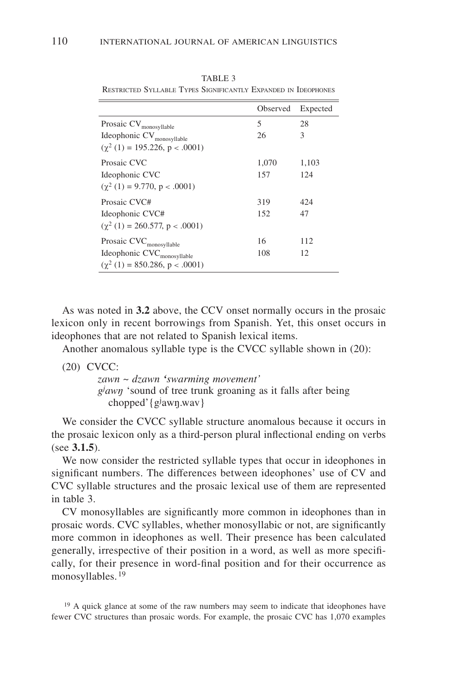|                                        | Observed | Expected |
|----------------------------------------|----------|----------|
| Prosaic CV <sub>monosyllable</sub>     | 5        | 28       |
| Ideophonic CV <sub>monosyllable</sub>  | 26       | 3        |
| $(\gamma^2 (1) = 195.226, p < .0001)$  |          |          |
| Prosaic CVC                            | 1,070    | 1,103    |
| Ideophonic CVC                         | 157      | 124      |
| $(\gamma^2 (1) = 9.770, p < .0001)$    |          |          |
| Prosaic CVC#                           | 319      | 424      |
| Ideophonic CVC#                        | 152      | 47       |
| $(\gamma^2 (1) = 260.577, p < .0001)$  |          |          |
| Prosaic CVC <sub>monosyllable</sub>    | 16       | 112      |
| Ideophonic CVC <sub>monosyllable</sub> | 108      | 12       |
| $(\gamma^2 (1) = 850.286, p < .0001)$  |          |          |

TABLE 3 RESTRICTED SYLLABLE TYPES SIGNIFICANTLY EXPANDED IN IDEOPHONES

As was noted in **3.2** above, the CCV onset normally occurs in the prosaic lexicon only in recent borrowings from Spanish. Yet, this onset occurs in ideophones that are not related to Spanish lexical items.

Another anomalous syllable type is the CVCC syllable shown in (20):

(20) CVCC:

*zawn* ~ *dzawn 'swarming movement' gj awŋ* 'sound of tree trunk groaning as it falls after being chopped'{gj awŋ.wav}

We consider the CVCC syllable structure anomalous because it occurs in the prosaic lexicon only as a third-person plural infectional ending on verbs (see **3.1.5**).

We now consider the restricted syllable types that occur in ideophones in signifcant numbers. The diferences between ideophones' use of CV and CVC syllable structures and the prosaic lexical use of them are represented in table 3.

CV monosyllables are signifcantly more common in ideophones than in prosaic words. CVC syllables, whether monosyllabic or not, are signifcantly more common in ideophones as well. Their presence has been calculated generally, irrespective of their position in a word, as well as more specifcally, for their presence in word-fnal position and for their occurrence as monosyllables. <sup>19</sup>

<sup>19</sup> A quick glance at some of the raw numbers may seem to indicate that ideophones have fewer CVC structures than prosaic words. For example, the prosaic CVC has 1,070 examples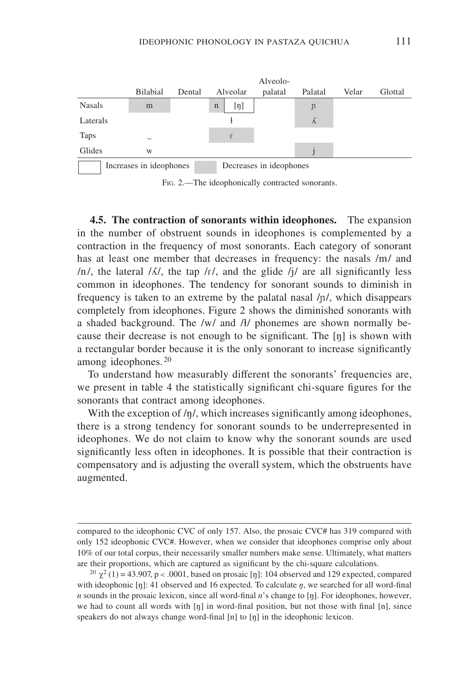

FIG. 2.—The ideophonically contracted sonorants.

**4.5. The contraction of sonorants within ideophones.** The expansion in the number of obstruent sounds in ideophones is complemented by a contraction in the frequency of most sonorants. Each category of sonorant has at least one member that decreases in frequency: the nasals /m/ and  $/n/$ , the lateral  $/$  K $/$ , the tap  $/$  r $/$ , and the glide  $/$ j $/$  are all significantly less common in ideophones. The tendency for sonorant sounds to diminish in frequency is taken to an extreme by the palatal nasal  $/p/$ , which disappears completely from ideophones. Figure 2 shows the diminished sonorants with a shaded background. The /w/ and /ł/ phonemes are shown normally because their decrease is not enough to be signifcant. The [ŋ] is shown with a rectangular border because it is the only sonorant to increase signifcantly among ideophones. <sup>20</sup>

To understand how measurably diferent the sonorants' frequencies are, we present in table 4 the statistically signifcant chi-square fgures for the sonorants that contract among ideophones.

With the exception of  $/\eta$ , which increases significantly among ideophones, there is a strong tendency for sonorant sounds to be underrepresented in ideophones. We do not claim to know why the sonorant sounds are used signifcantly less often in ideophones. It is possible that their contraction is compensatory and is adjusting the overall system, which the obstruents have augmented.

compared to the ideophonic CVC of only 157. Also, the prosaic CVC# has 319 compared with only 152 ideophonic CVC#. However, when we consider that ideophones comprise only about 10% of our total corpus, their necessarily smaller numbers make sense. Ultimately, what matters are their proportions, which are captured as signifcant by the chi-square calculations.

<sup>&</sup>lt;sup>20</sup>  $\chi^2$  (1) = 43.907, p < .0001, based on prosaic [ŋ]: 104 observed and 129 expected, compared with ideophonic [ŋ]: 41 observed and 16 expected. To calculate *ŋ*, we searched for all word-fnal *n* sounds in the prosaic lexicon, since all word-final *n*'s change to [ŋ]. For ideophones, however, we had to count all words with  $[\eta]$  in word-final position, but not those with final  $[\eta]$ , since speakers do not always change word-fnal [n] to [ŋ] in the ideophonic lexicon.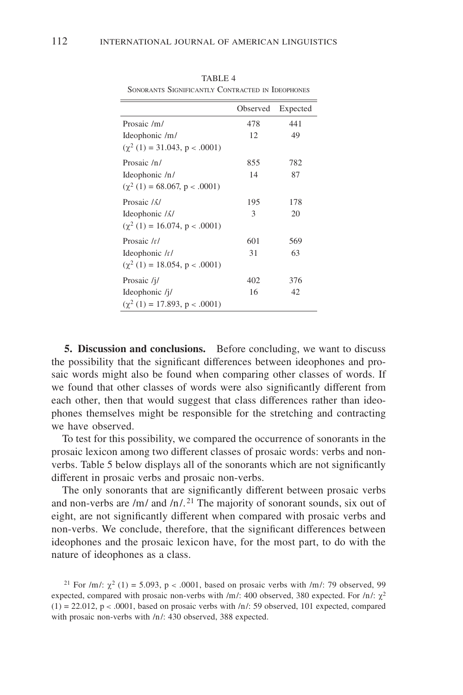|                                      | Observed | Expected |
|--------------------------------------|----------|----------|
| Prosaic /m/                          | 478      | 441      |
| Ideophonic /m/                       | 12       | 49       |
| $(\gamma^2 (1) = 31.043, p < .0001)$ |          |          |
| Prosaic /n/                          | 855      | 782      |
| Ideophonic /n/                       | 14       | 87       |
| $(\chi^2 (1) = 68.067, p < .0001)$   |          |          |
| Prosaic / K/                         | 195      | 178      |
| Ideophonic $/\lambda$ /              | 3        | 20       |
| $(\gamma^2 (1) = 16.074, p < .0001)$ |          |          |
| Prosaic /r/                          | 601      | 569      |
| Ideophonic /r/                       | 31       | 63       |
| $(\gamma^2 (1) = 18.054, p < .0001)$ |          |          |
| Prosaic /j/                          | 402      | 376      |
| Ideophonic $/j/$                     | 16       | 42       |
| $(\gamma^2 (1) = 17.893, p < .0001)$ |          |          |

TABLE 4 SONORANTS SIGNIFICANTLY CONTRACTED IN IDEOPHONES

**5. Discussion and conclusions.** Before concluding, we want to discuss the possibility that the signifcant diferences between ideophones and prosaic words might also be found when comparing other classes of words. If we found that other classes of words were also signifcantly diferent from each other, then that would suggest that class diferences rather than ideophones themselves might be responsible for the stretching and contracting we have observed.

To test for this possibility, we compared the occurrence of sonorants in the prosaic lexicon among two diferent classes of prosaic words: verbs and nonverbs. Table 5 below displays all of the sonorants which are not signifcantly diferent in prosaic verbs and prosaic non-verbs.

The only sonorants that are signifcantly diferent between prosaic verbs and non-verbs are  $/m/$  and  $/n/$ .<sup>21</sup> The majority of sonorant sounds, six out of eight, are not signifcantly diferent when compared with prosaic verbs and non-verbs. We conclude, therefore, that the signifcant diferences between ideophones and the prosaic lexicon have, for the most part, to do with the nature of ideophones as a class.

<sup>&</sup>lt;sup>21</sup> For /m/:  $\chi^2$  (1) = 5.093, p < .0001, based on prosaic verbs with /m/: 79 observed, 99 expected, compared with prosaic non-verbs with /m/: 400 observed, 380 expected. For /n/:  $\gamma^2$  $(1) = 22.012$ , p < .0001, based on prosaic verbs with  $/n$ : 59 observed, 101 expected, compared with prosaic non-verbs with /n/: 430 observed, 388 expected.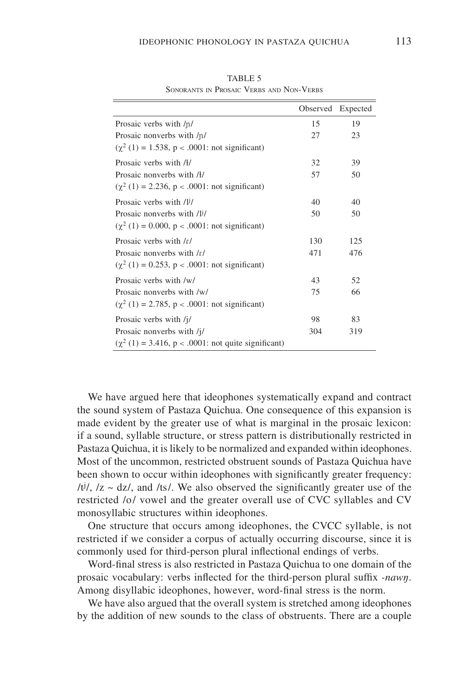|                                                          | Observed | Expected |
|----------------------------------------------------------|----------|----------|
| Prosaic verbs with $/\eta$ /                             | 15       | 19       |
| Prosaic nonverbs with /n/                                | 27       | 23       |
| $(\gamma^2 (1) = 1.538, p < .0001$ : not significant)    |          |          |
| Prosaic verbs with /ł/                                   | 32       | 39       |
| Prosaic nonverbs with /ł/                                | 57       | 50       |
| $(\chi^2(1) = 2.236, p < .0001$ : not significant)       |          |          |
| Prosaic verbs with /li/                                  | 40       | 40       |
| Prosaic nonverbs with /l <sup>j</sup> /                  | 50       | 50       |
| $(\gamma^2 (1) = 0.000, p < .0001$ : not significant)    |          |          |
| Prosaic verbs with /r/                                   | 130      | 125      |
| Prosaic nonverbs with /r/                                | 471      | 476      |
| $(\chi^2(1) = 0.253, p < .0001$ : not significant)       |          |          |
| Prosaic verbs with /w/                                   | 43       | 52       |
| Prosaic nonverbs with /w/                                | 75       | 66       |
| $(\gamma^2 (1) = 2.785, p < .0001$ : not significant)    |          |          |
| Prosaic verbs with /j/                                   | 98       | 83       |
| Prosaic nonverbs with /j/                                | 304      | 319      |
| $(\chi^2(1) = 3.416, p < .0001$ : not quite significant) |          |          |

TABLE 5 SONORANTS IN PROSAIC VERBS AND NON-VERBS

We have argued here that ideophones systematically expand and contract the sound system of Pastaza Quichua. One consequence of this expansion is made evident by the greater use of what is marginal in the prosaic lexicon: if a sound, syllable structure, or stress pattern is distributionally restricted in Pastaza Quichua, it is likely to be normalized and expanded within ideophones. Most of the uncommon, restricted obstruent sounds of Pastaza Quichua have been shown to occur within ideophones with signifcantly greater frequency:  $/t^{j}/$ ,  $/z \sim dz/$ , and /ts/. We also observed the significantly greater use of the restricted /o/ vowel and the greater overall use of CVC syllables and CV monosyllabic structures within ideophones.

One structure that occurs among ideophones, the CVCC syllable, is not restricted if we consider a corpus of actually occurring discourse, since it is commonly used for third-person plural infectional endings of verbs.

Word-fnal stress is also restricted in Pastaza Quichua to one domain of the prosaic vocabulary: verbs inflected for the third-person plural suffix *-nawn*. Among disyllabic ideophones, however, word-fnal stress is the norm.

We have also argued that the overall system is stretched among ideophones by the addition of new sounds to the class of obstruents. There are a couple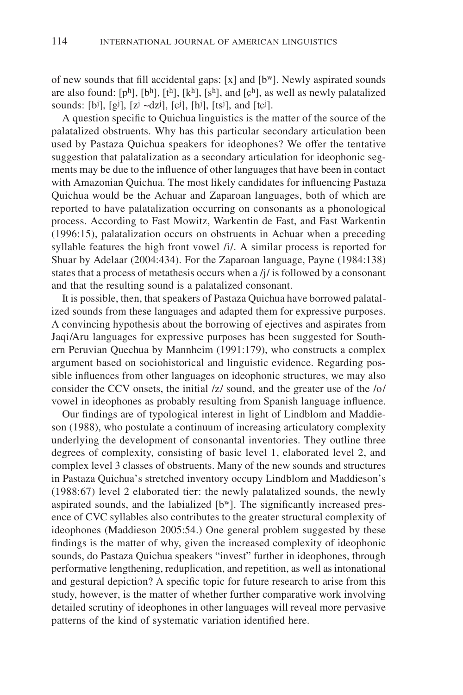of new sounds that fill accidental gaps:  $[x]$  and  $[b^w]$ . Newly aspirated sounds are also found:  $[p^h]$ ,  $[b^h]$ ,  $[t^h]$ ,  $[k^h]$ ,  $[s^h]$ , and  $[c^h]$ , as well as newly palatalized sounds: [b<sup>j</sup>], [g<sup>j</sup>], [z<sup>j</sup> ~dz<sup>j</sup>], [c<sup>j</sup>], [h<sup>j</sup>], [ts<sup>j</sup>], and [tc<sup>j</sup>].

A question specifc to Quichua linguistics is the matter of the source of the palatalized obstruents. Why has this particular secondary articulation been used by Pastaza Quichua speakers for ideophones? We offer the tentative suggestion that palatalization as a secondary articulation for ideophonic segments may be due to the infuence of other languages that have been in contact with Amazonian Quichua. The most likely candidates for infuencing Pastaza Quichua would be the Achuar and Zaparoan languages, both of which are reported to have palatalization occurring on consonants as a phonological process. According to Fast Mowitz, Warkentin de Fast, and Fast Warkentin (1996:15), palatalization occurs on obstruents in Achuar when a preceding syllable features the high front vowel /i/. A similar process is reported for Shuar by Adelaar (2004:434). For the Zaparoan language, Payne (1984:138) states that a process of metathesis occurs when a /j/ is followed by a consonant and that the resulting sound is a palatalized consonant.

It is possible, then, that speakers of Pastaza Quichua have borrowed palatalized sounds from these languages and adapted them for expressive purposes. A convincing hypothesis about the borrowing of ejectives and aspirates from Jaqi/Aru languages for expressive purposes has been suggested for Southern Peruvian Quechua by Mannheim (1991:179), who constructs a complex argument based on sociohistorical and linguistic evidence. Regarding possible infuences from other languages on ideophonic structures, we may also consider the CCV onsets, the initial /z/ sound, and the greater use of the /o/ vowel in ideophones as probably resulting from Spanish language infuence.

Our fndings are of typological interest in light of Lindblom and Maddieson (1988), who postulate a continuum of increasing articulatory complexity underlying the development of consonantal inventories. They outline three degrees of complexity, consisting of basic level 1, elaborated level 2, and complex level 3 classes of obstruents. Many of the new sounds and structures in Pastaza Quichua's stretched inventory occupy Lindblom and Maddieson's (1988:67) level 2 elaborated tier: the newly palatalized sounds, the newly aspirated sounds, and the labialized [bw]. The signifcantly increased presence of CVC syllables also contributes to the greater structural complexity of ideophones (Maddieson 2005:54.) One general problem suggested by these fndings is the matter of why, given the increased complexity of ideophonic sounds, do Pastaza Quichua speakers "invest" further in ideophones, through performative lengthening, reduplication, and repetition, as well as intonational and gestural depiction? A specifc topic for future research to arise from this study, however, is the matter of whether further comparative work involving detailed scrutiny of ideophones in other languages will reveal more pervasive patterns of the kind of systematic variation identifed here.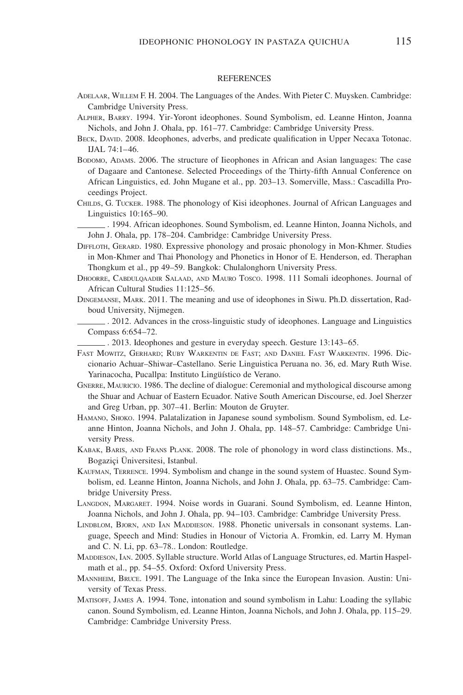## **REFERENCES**

- ADELAAR, WILLEM F. H. 2004. The Languages of the Andes. With Pieter C. Muysken. Cambridge: Cambridge University Press.
- ALPHER, BARRY. 1994. Yir-Yoront ideophones. Sound Symbolism, ed. Leanne Hinton, Joanna Nichols, and John J. Ohala, pp. 161–77. Cambridge: Cambridge University Press.
- BECK, DAVID. 2008. Ideophones, adverbs, and predicate qualifcation in Upper Necaxa Totonac. IJAL 74:1–46.
- BODOMO, ADAMS. 2006. The structure of Iieophones in African and Asian languages: The case of Dagaare and Cantonese. Selected Proceedings of the Thirty-ffth Annual Conference on African Linguistics, ed. John Mugane et al., pp. 203–13. Somerville, Mass.: Cascadilla Proceedings Project.
- CHILDS, G. TUCKER. 1988. The phonology of Kisi ideophones. Journal of African Languages and Linguistics 10:165–90.
- . 1994. African ideophones. Sound Symbolism, ed. Leanne Hinton, Joanna Nichols, and John J. Ohala, pp. 178–204. Cambridge: Cambridge University Press.
- DIFFLOTH, GERARD. 1980. Expressive phonology and prosaic phonology in Mon-Khmer. Studies in Mon-Khmer and Thai Phonology and Phonetics in Honor of E. Henderson, ed. Theraphan Thongkum et al., pp 49–59. Bangkok: Chulalonghorn University Press.
- DHOORRE, CABDULQAADIR SALAAD, AND MAURO TOSCO. 1998. 111 Somali ideophones. Journal of African Cultural Studies 11:125–56.
- DINGEMANSE, MARK. 2011. The meaning and use of ideophones in Siwu. Ph.D. dissertation, Radboud University, Nijmegen.
- . 2012. Advances in the cross-linguistic study of ideophones. Language and Linguistics Compass 6:654–72.
	- . 2013. Ideophones and gesture in everyday speech. Gesture 13:143–65.
- FAST MOWITZ, GERHARD; RUBY WARKENTIN DE FAST; AND DANIEL FAST WARKENTIN. 1996. Diccionario Achuar–Shiwar–Castellano. Serie Linguistica Peruana no. 36, ed. Mary Ruth Wise. Yarinacocha, Pucallpa: Instituto Lingüístico de Verano.
- GNERRE, MAURICIO. 1986. The decline of dialogue: Ceremonial and mythological discourse among the Shuar and Achuar of Eastern Ecuador. Native South American Discourse, ed. Joel Sherzer and Greg Urban, pp. 307–41. Berlin: Mouton de Gruyter.
- HAMANO, SHOKO. 1994. Palatalization in Japanese sound symbolism. Sound Symbolism, ed. Leanne Hinton, Joanna Nichols, and John J. Ohala, pp. 148–57. Cambridge: Cambridge University Press.
- KABAK, BARIS, AND FRANS PLANK. 2008. The role of phonology in word class distinctions. Ms., Bogaziçi Üniversitesi, Istanbul.
- KAUFMAN, TERRENCE. 1994. Symbolism and change in the sound system of Huastec. Sound Symbolism, ed. Leanne Hinton, Joanna Nichols, and John J. Ohala, pp. 63–75. Cambridge: Cambridge University Press.
- LANGDON, MARGARET. 1994. Noise words in Guarani. Sound Symbolism, ed. Leanne Hinton, Joanna Nichols, and John J. Ohala, pp. 94–103. Cambridge: Cambridge University Press.
- LINDBLOM, BJORN, AND IAN MADDIESON. 1988. Phonetic universals in consonant systems. Language, Speech and Mind: Studies in Honour of Victoria A. Fromkin, ed. Larry M. Hyman and C. N. Li, pp. 63–78.. London: Routledge.
- MADDIESON, IAN. 2005. Syllable structure. World Atlas of Language Structures, ed. Martin Haspelmath et al., pp. 54–55. Oxford: Oxford University Press.
- MANNHEIM, BRUCE. 1991. The Language of the Inka since the European Invasion. Austin: University of Texas Press.
- MATISOFF, JAMES A. 1994. Tone, intonation and sound symbolism in Lahu: Loading the syllabic canon. Sound Symbolism, ed. Leanne Hinton, Joanna Nichols, and John J. Ohala, pp. 115–29. Cambridge: Cambridge University Press.